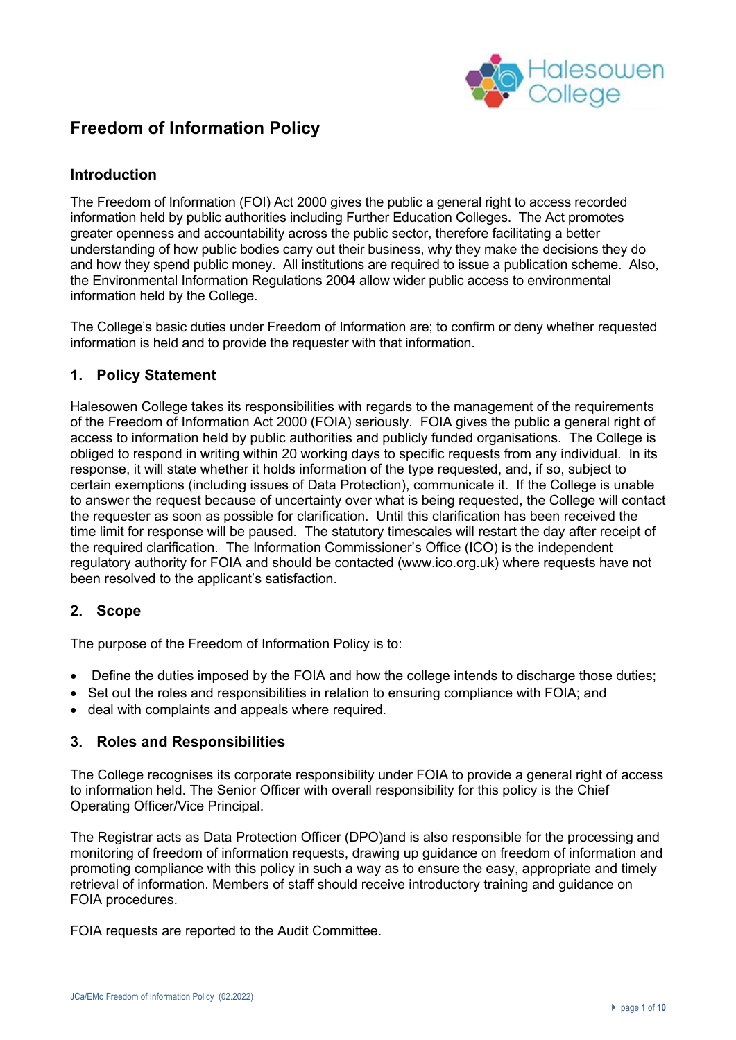

# **Freedom of Information Policy**

# **Introduction**

The Freedom of Information (FOI) Act 2000 gives the public a general right to access recorded information held by public authorities including Further Education Colleges. The Act promotes greater openness and accountability across the public sector, therefore facilitating a better understanding of how public bodies carry out their business, why they make the decisions they do and how they spend public money. All institutions are required to issue a publication scheme. Also, the Environmental Information Regulations 2004 allow wider public access to environmental information held by the College.

The College's basic duties under Freedom of Information are; to confirm or deny whether requested information is held and to provide the requester with that information.

## **1. Policy Statement**

Halesowen College takes its responsibilities with regards to the management of the requirements of the Freedom of Information Act 2000 (FOIA) seriously. FOIA gives the public a general right of access to information held by public authorities and publicly funded organisations. The College is obliged to respond in writing within 20 working days to specific requests from any individual. In its response, it will state whether it holds information of the type requested, and, if so, subject to certain exemptions (including issues of Data Protection), communicate it. If the College is unable to answer the request because of uncertainty over what is being requested, the College will contact the requester as soon as possible for clarification. Until this clarification has been received the time limit for response will be paused. The statutory timescales will restart the day after receipt of the required clarification. The Information Commissioner's Office (ICO) is the independent regulatory authority for FOIA and should be contacted (www.ico.org.uk) where requests have not been resolved to the applicant's satisfaction.

## **2. Scope**

The purpose of the Freedom of Information Policy is to:

- Define the duties imposed by the FOIA and how the college intends to discharge those duties;
- Set out the roles and responsibilities in relation to ensuring compliance with FOIA; and
- deal with complaints and appeals where required.

## **3. Roles and Responsibilities**

The College recognises its corporate responsibility under FOIA to provide a general right of access to information held. The Senior Officer with overall responsibility for this policy is the Chief Operating Officer/Vice Principal.

The Registrar acts as Data Protection Officer (DPO)and is also responsible for the processing and monitoring of freedom of information requests, drawing up guidance on freedom of information and promoting compliance with this policy in such a way as to ensure the easy, appropriate and timely retrieval of information. Members of staff should receive introductory training and guidance on FOIA procedures.

FOIA requests are reported to the Audit Committee.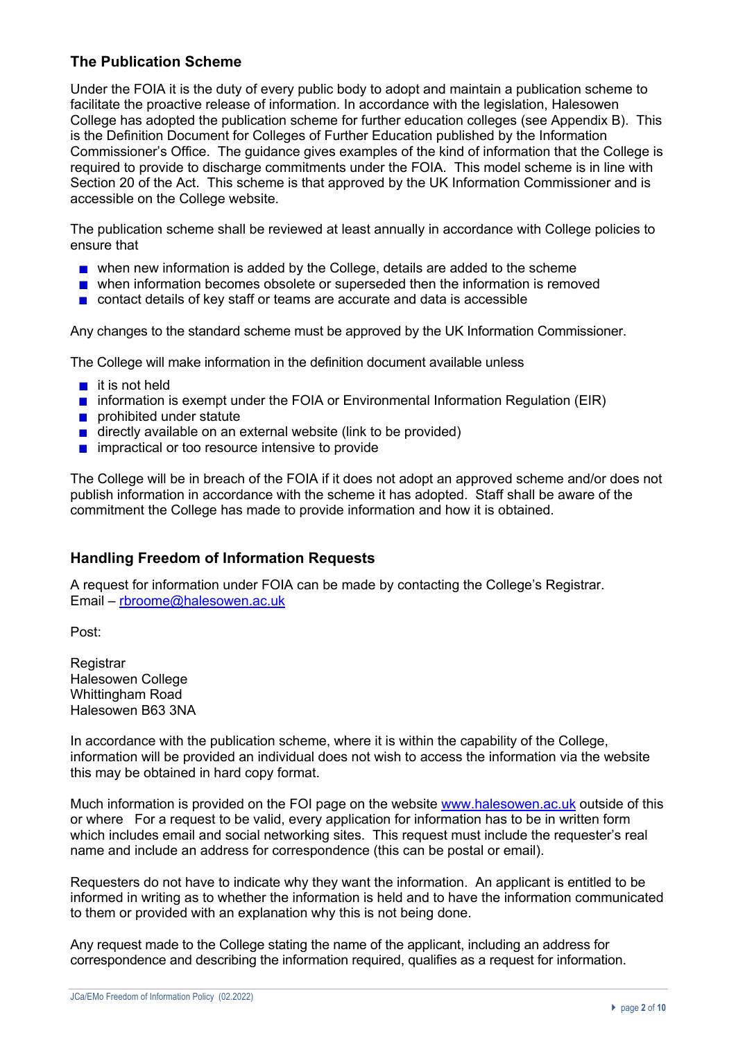# **The Publication Scheme**

Under the FOIA it is the duty of every public body to adopt and maintain a publication scheme to facilitate the proactive release of information. In accordance with the legislation, Halesowen College has adopted the publication scheme for further education colleges (see Appendix B). This is the Definition Document for Colleges of Further Education published by the Information Commissioner's Office. The guidance gives examples of the kind of information that the College is required to provide to discharge commitments under the FOIA. This model scheme is in line with Section 20 of the Act. This scheme is that approved by the UK Information Commissioner and is accessible on the College website.

The publication scheme shall be reviewed at least annually in accordance with College policies to ensure that

- **n** when new information is added by the College, details are added to the scheme
- **n** when information becomes obsolete or superseded then the information is removed
- contact details of key staff or teams are accurate and data is accessible

Any changes to the standard scheme must be approved by the UK Information Commissioner.

The College will make information in the definition document available unless

- $\blacksquare$  it is not held
- **n** information is exempt under the FOIA or Environmental Information Regulation (EIR)
- **prohibited under statute**
- $\blacksquare$  directly available on an external website (link to be provided)
- $\blacksquare$  impractical or too resource intensive to provide

The College will be in breach of the FOIA if it does not adopt an approved scheme and/or does not publish information in accordance with the scheme it has adopted. Staff shall be aware of the commitment the College has made to provide information and how it is obtained.

# **Handling Freedom of Information Requests**

A request for information under FOIA can be made by contacting the College's Registrar. Email – rbroome@halesowen.ac.uk

Post:

**Registrar** Halesowen College Whittingham Road Halesowen B63 3NA

In accordance with the publication scheme, where it is within the capability of the College, information will be provided an individual does not wish to access the information via the website this may be obtained in hard copy format.

Much information is provided on the FOI page on the website www.halesowen.ac.uk outside of this or where For a request to be valid, every application for information has to be in written form which includes email and social networking sites. This request must include the requester's real name and include an address for correspondence (this can be postal or email).

Requesters do not have to indicate why they want the information. An applicant is entitled to be informed in writing as to whether the information is held and to have the information communicated to them or provided with an explanation why this is not being done.

Any request made to the College stating the name of the applicant, including an address for correspondence and describing the information required, qualifies as a request for information.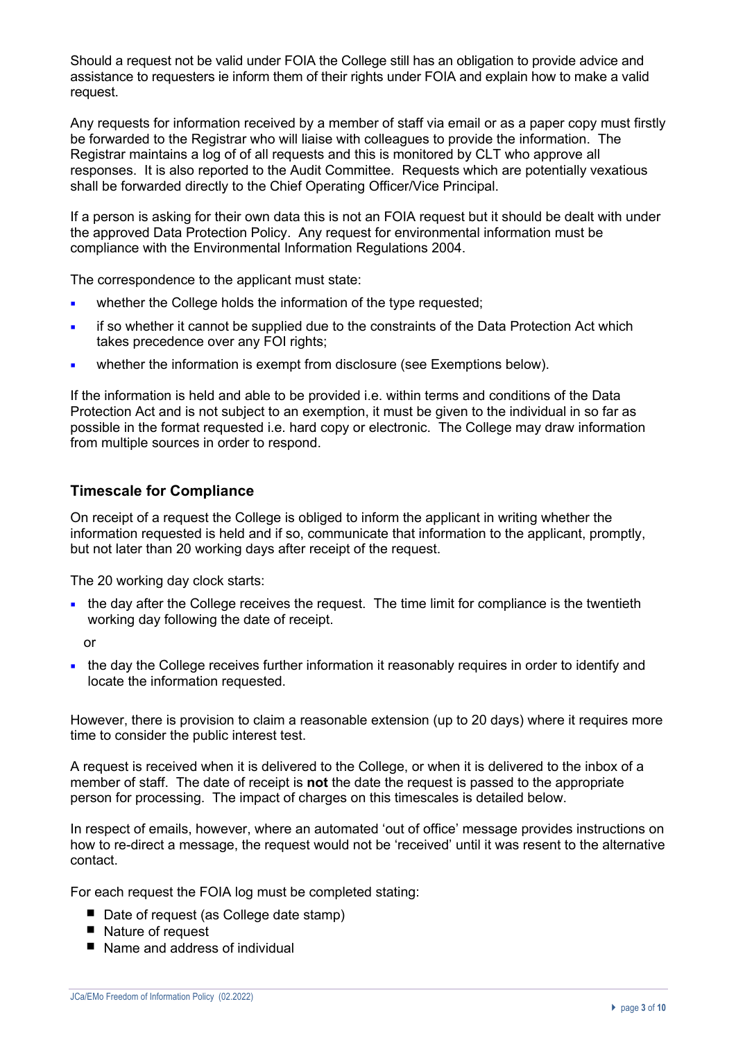Should a request not be valid under FOIA the College still has an obligation to provide advice and assistance to requesters ie inform them of their rights under FOIA and explain how to make a valid request.

Any requests for information received by a member of staff via email or as a paper copy must firstly be forwarded to the Registrar who will liaise with colleagues to provide the information. The Registrar maintains a log of of all requests and this is monitored by CLT who approve all responses. It is also reported to the Audit Committee. Requests which are potentially vexatious shall be forwarded directly to the Chief Operating Officer/Vice Principal.

If a person is asking for their own data this is not an FOIA request but it should be dealt with under the approved Data Protection Policy. Any request for environmental information must be compliance with the Environmental Information Regulations 2004.

The correspondence to the applicant must state:

- whether the College holds the information of the type requested;
- ¡ if so whether it cannot be supplied due to the constraints of the Data Protection Act which takes precedence over any FOI rights:
- ¡ whether the information is exempt from disclosure (see Exemptions below).

If the information is held and able to be provided i.e. within terms and conditions of the Data Protection Act and is not subject to an exemption, it must be given to the individual in so far as possible in the format requested i.e. hard copy or electronic. The College may draw information from multiple sources in order to respond.

## **Timescale for Compliance**

On receipt of a request the College is obliged to inform the applicant in writing whether the information requested is held and if so, communicate that information to the applicant, promptly, but not later than 20 working days after receipt of the request.

The 20 working day clock starts:

• the day after the College receives the request. The time limit for compliance is the twentieth working day following the date of receipt.

or

• the day the College receives further information it reasonably requires in order to identify and locate the information requested.

However, there is provision to claim a reasonable extension (up to 20 days) where it requires more time to consider the public interest test.

A request is received when it is delivered to the College, or when it is delivered to the inbox of a member of staff. The date of receipt is **not** the date the request is passed to the appropriate person for processing. The impact of charges on this timescales is detailed below.

In respect of emails, however, where an automated 'out of office' message provides instructions on how to re-direct a message, the request would not be 'received' until it was resent to the alternative contact.

For each request the FOIA log must be completed stating:

- Date of request (as College date stamp)
- Nature of request
- Name and address of individual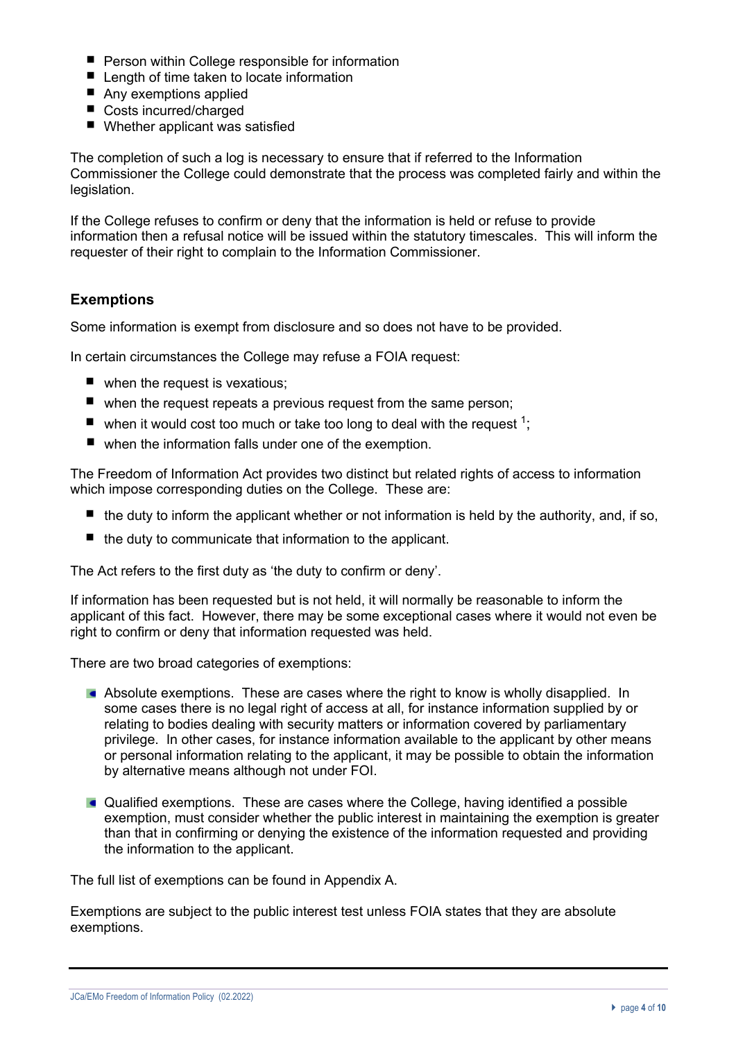- **P** Person within College responsible for information
- Length of time taken to locate information
- Any exemptions applied
- Costs incurred/charged
- Whether applicant was satisfied

The completion of such a log is necessary to ensure that if referred to the Information Commissioner the College could demonstrate that the process was completed fairly and within the legislation.

If the College refuses to confirm or deny that the information is held or refuse to provide information then a refusal notice will be issued within the statutory timescales. This will inform the requester of their right to complain to the Information Commissioner.

# **Exemptions**

Some information is exempt from disclosure and so does not have to be provided.

In certain circumstances the College may refuse a FOIA request:

- when the request is vexatious;
- when the request repeats a previous request from the same person;
- $\blacksquare$  when it would cost too much or take too long to deal with the request <sup>1</sup>;
- when the information falls under one of the exemption.

The Freedom of Information Act provides two distinct but related rights of access to information which impose corresponding duties on the College. These are:

- $\blacksquare$  the duty to inform the applicant whether or not information is held by the authority, and, if so,
- $\blacksquare$  the duty to communicate that information to the applicant.

The Act refers to the first duty as 'the duty to confirm or deny'.

If information has been requested but is not held, it will normally be reasonable to inform the applicant of this fact. However, there may be some exceptional cases where it would not even be right to confirm or deny that information requested was held.

There are two broad categories of exemptions:

- Absolute exemptions. These are cases where the right to know is wholly disapplied. In some cases there is no legal right of access at all, for instance information supplied by or relating to bodies dealing with security matters or information covered by parliamentary privilege. In other cases, for instance information available to the applicant by other means or personal information relating to the applicant, it may be possible to obtain the information by alternative means although not under FOI.
- Qualified exemptions. These are cases where the College, having identified a possible exemption, must consider whether the public interest in maintaining the exemption is greater than that in confirming or denying the existence of the information requested and providing the information to the applicant.

The full list of exemptions can be found in Appendix A.

Exemptions are subject to the public interest test unless FOIA states that they are absolute exemptions.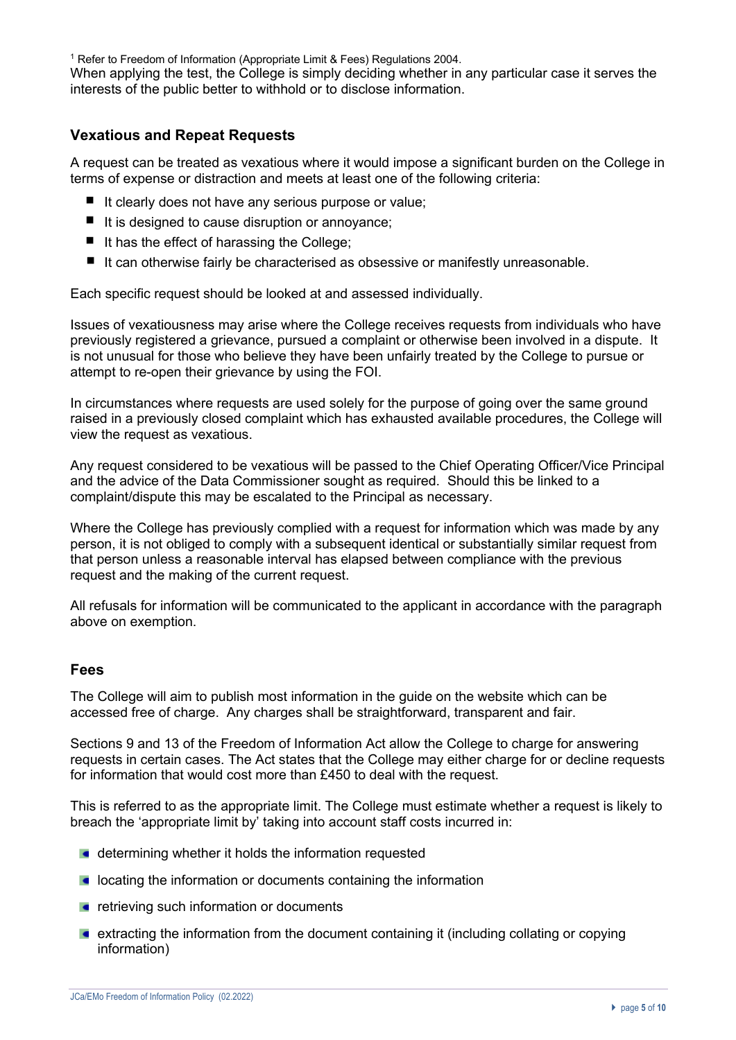<sup>1</sup> Refer to Freedom of Information (Appropriate Limit & Fees) Regulations 2004.

When applying the test, the College is simply deciding whether in any particular case it serves the interests of the public better to withhold or to disclose information.

## **Vexatious and Repeat Requests**

A request can be treated as vexatious where it would impose a significant burden on the College in terms of expense or distraction and meets at least one of the following criteria:

- $\blacksquare$  It clearly does not have any serious purpose or value;
- $\blacksquare$  It is designed to cause disruption or annoyance;
- $\blacksquare$  It has the effect of harassing the College;
- $\blacksquare$  It can otherwise fairly be characterised as obsessive or manifestly unreasonable.

Each specific request should be looked at and assessed individually.

Issues of vexatiousness may arise where the College receives requests from individuals who have previously registered a grievance, pursued a complaint or otherwise been involved in a dispute. It is not unusual for those who believe they have been unfairly treated by the College to pursue or attempt to re-open their grievance by using the FOI.

In circumstances where requests are used solely for the purpose of going over the same ground raised in a previously closed complaint which has exhausted available procedures, the College will view the request as vexatious.

Any request considered to be vexatious will be passed to the Chief Operating Officer/Vice Principal and the advice of the Data Commissioner sought as required. Should this be linked to a complaint/dispute this may be escalated to the Principal as necessary.

Where the College has previously complied with a request for information which was made by any person, it is not obliged to comply with a subsequent identical or substantially similar request from that person unless a reasonable interval has elapsed between compliance with the previous request and the making of the current request.

All refusals for information will be communicated to the applicant in accordance with the paragraph above on exemption.

## **Fees**

The College will aim to publish most information in the guide on the website which can be accessed free of charge. Any charges shall be straightforward, transparent and fair.

Sections 9 and 13 of the Freedom of Information Act allow the College to charge for answering requests in certain cases. The Act states that the College may either charge for or decline requests for information that would cost more than £450 to deal with the request.

This is referred to as the appropriate limit. The College must estimate whether a request is likely to breach the 'appropriate limit by' taking into account staff costs incurred in:

- **d** determining whether it holds the information requested
- **E** locating the information or documents containing the information
- **retrieving such information or documents**
- extracting the information from the document containing it (including collating or copying information)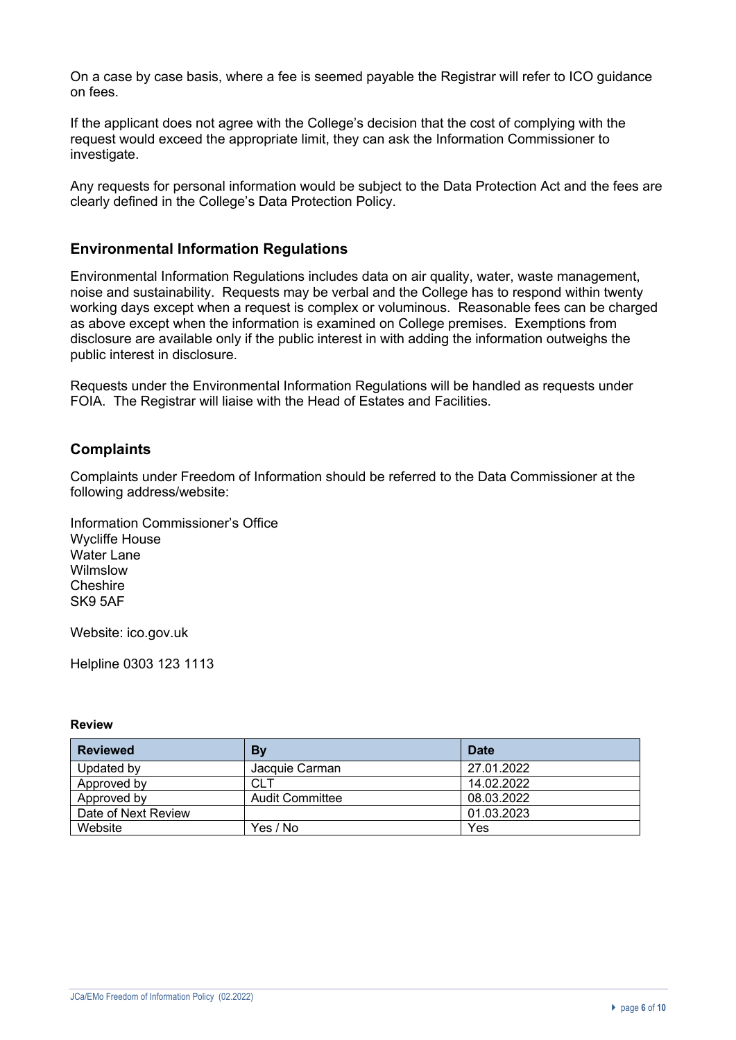On a case by case basis, where a fee is seemed payable the Registrar will refer to ICO guidance on fees.

If the applicant does not agree with the College's decision that the cost of complying with the request would exceed the appropriate limit, they can ask the Information Commissioner to investigate.

Any requests for personal information would be subject to the Data Protection Act and the fees are clearly defined in the College's Data Protection Policy.

## **Environmental Information Regulations**

Environmental Information Regulations includes data on air quality, water, waste management, noise and sustainability. Requests may be verbal and the College has to respond within twenty working days except when a request is complex or voluminous. Reasonable fees can be charged as above except when the information is examined on College premises. Exemptions from disclosure are available only if the public interest in with adding the information outweighs the public interest in disclosure.

Requests under the Environmental Information Regulations will be handled as requests under FOIA. The Registrar will liaise with the Head of Estates and Facilities.

# **Complaints**

Complaints under Freedom of Information should be referred to the Data Commissioner at the following address/website:

Information Commissioner's Office Wycliffe House Water Lane Wilmslow Cheshire SK9 5AF

Website: ico.gov.uk

Helpline 0303 123 1113

## **Review**

| <b>Reviewed</b>     | By                     | <b>Date</b> |
|---------------------|------------------------|-------------|
| Updated by          | Jacquie Carman         | 27.01.2022  |
| Approved by         | CLT                    | 14.02.2022  |
| Approved by         | <b>Audit Committee</b> | 08.03.2022  |
| Date of Next Review |                        | 01.03.2023  |
| Website             | Yes / No               | Yes         |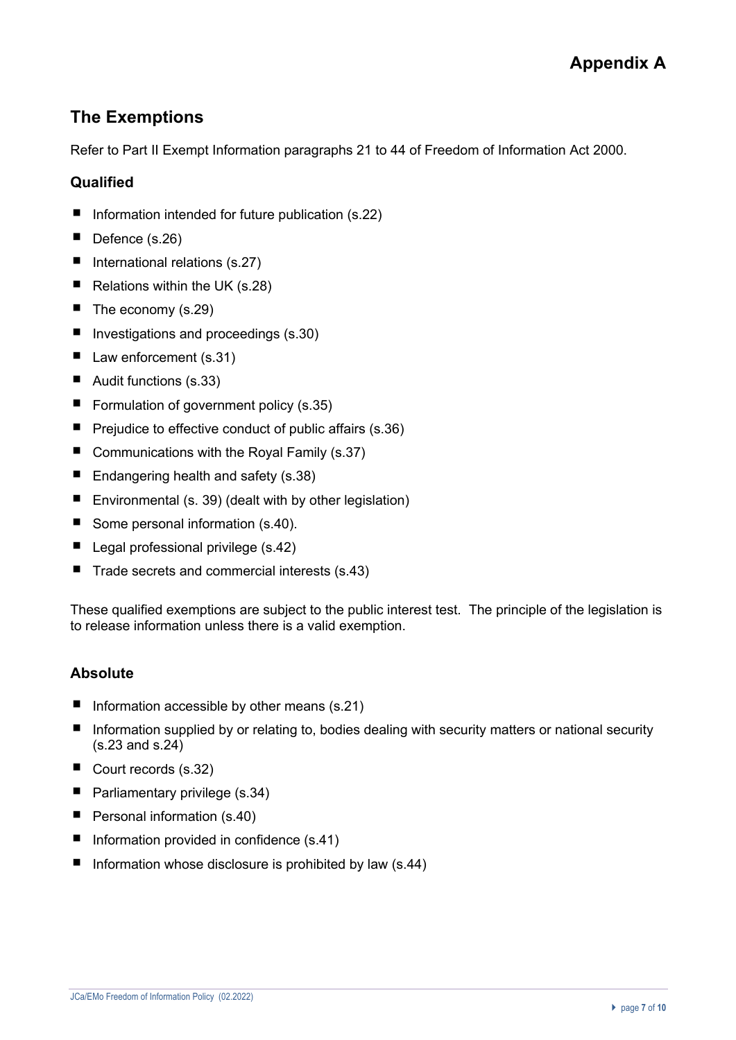# **The Exemptions**

Refer to Part II Exempt Information paragraphs 21 to 44 of Freedom of Information Act 2000.

# **Qualified**

- $\blacksquare$ Information intended for future publication (s.22)
- $\blacksquare$ Defence (s.26)
- $\blacksquare$  International relations (s.27)
- $\blacksquare$ Relations within the UK (s.28)
- $\blacksquare$  The economy (s.29)
- Investigations and proceedings (s.30)
- Law enforcement (s.31)
- Audit functions (s.33)
- Formulation of government policy  $(s.35)$
- $\blacksquare$  Prejudice to effective conduct of public affairs (s.36)
- Communications with the Royal Family (s.37)
- Endangering health and safety (s.38)
- Environmental (s. 39) (dealt with by other legislation)
- Some personal information (s.40).
- $\blacksquare$  Legal professional privilege (s.42)
- $\blacksquare$  Trade secrets and commercial interests (s.43)

These qualified exemptions are subject to the public interest test. The principle of the legislation is to release information unless there is a valid exemption.

# **Absolute**

- Information accessible by other means (s.21)  $\blacksquare$
- $\blacksquare$ Information supplied by or relating to, bodies dealing with security matters or national security (s.23 and s.24)
- Court records (s.32)
- $\blacksquare$  Parliamentary privilege (s.34)
- Personal information (s.40)
- Information provided in confidence  $(s.41)$
- Information whose disclosure is prohibited by law  $(s.44)$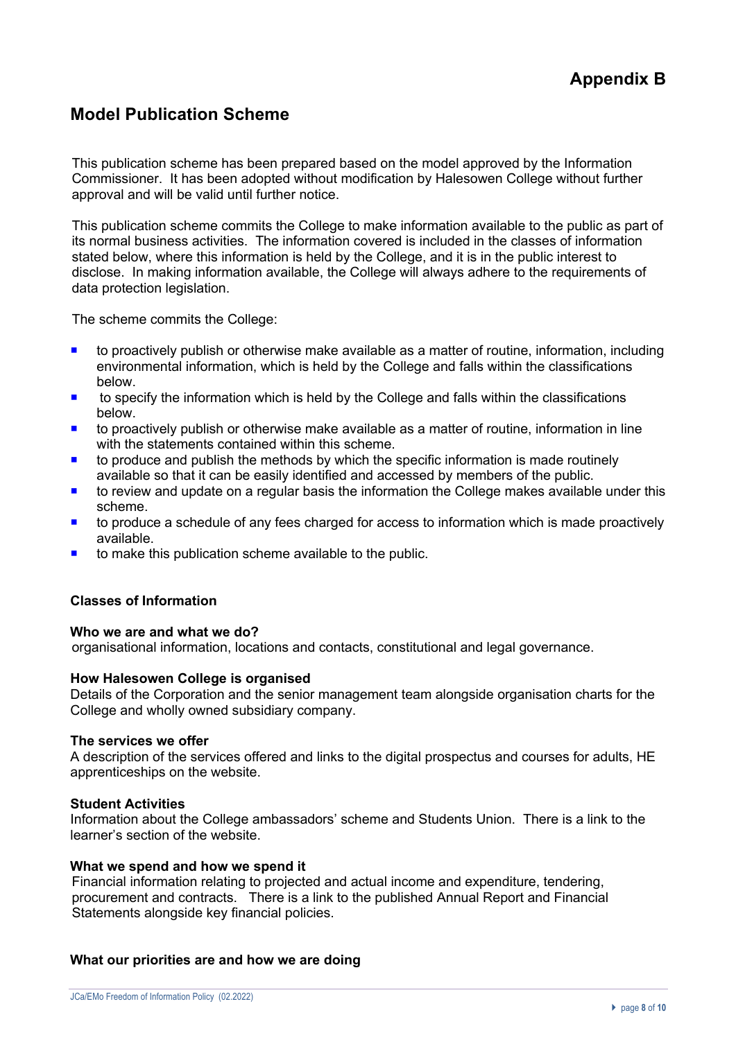# **Model Publication Scheme**

This publication scheme has been prepared based on the model approved by the Information Commissioner. It has been adopted without modification by Halesowen College without further approval and will be valid until further notice.

This publication scheme commits the College to make information available to the public as part of its normal business activities. The information covered is included in the classes of information stated below, where this information is held by the College, and it is in the public interest to disclose. In making information available, the College will always adhere to the requirements of data protection legislation.

The scheme commits the College:

- to proactively publish or otherwise make available as a matter of routine, information, including environmental information, which is held by the College and falls within the classifications below.
- $\blacksquare$  to specify the information which is held by the College and falls within the classifications below.
- ¡ to proactively publish or otherwise make available as a matter of routine, information in line with the statements contained within this scheme.
- to produce and publish the methods by which the specific information is made routinely available so that it can be easily identified and accessed by members of the public.
- to review and update on a regular basis the information the College makes available under this scheme.
- $\blacksquare$  to produce a schedule of any fees charged for access to information which is made proactively available.
- to make this publication scheme available to the public.

## **Classes of Information**

## **Who we are and what we do?**

organisational information, locations and contacts, constitutional and legal governance.

## **How Halesowen College is organised**

Details of the Corporation and the senior management team alongside organisation charts for the College and wholly owned subsidiary company.

## **The services we offer**

A description of the services offered and links to the digital prospectus and courses for adults, HE apprenticeships on the website.

#### **Student Activities**

Information about the College ambassadors' scheme and Students Union. There is a link to the learner's section of the website.

#### **What we spend and how we spend it**

Financial information relating to projected and actual income and expenditure, tendering, procurement and contracts. There is a link to the published Annual Report and Financial Statements alongside key financial policies.

## **What our priorities are and how we are doing**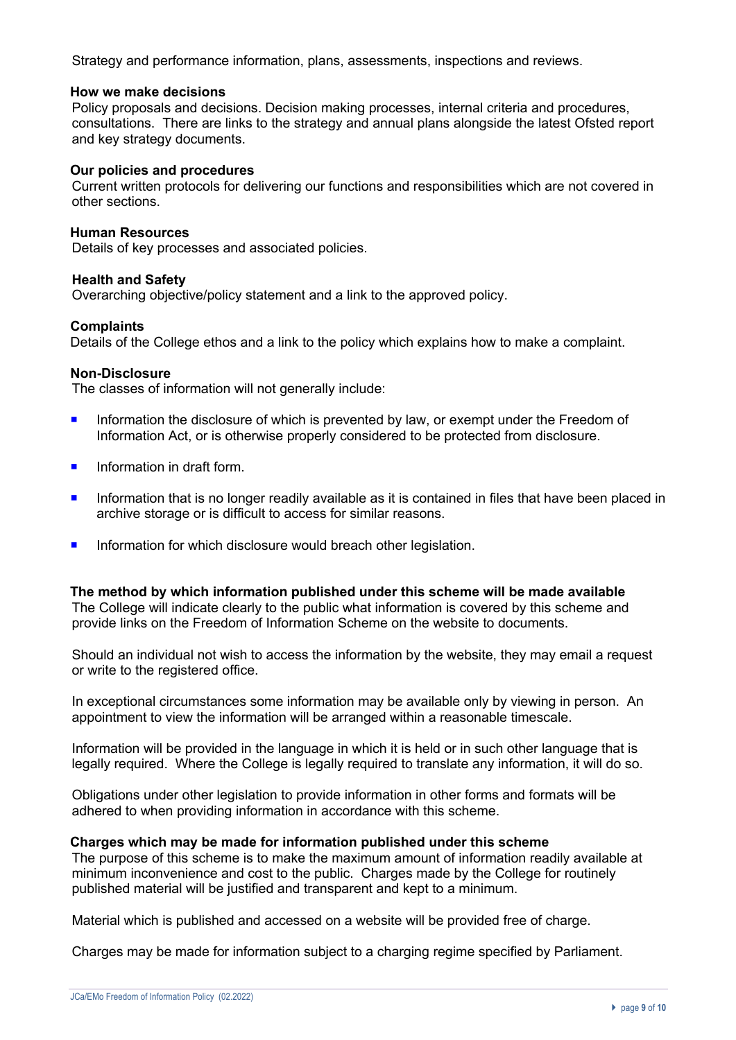Strategy and performance information, plans, assessments, inspections and reviews.

## **How we make decisions**

Policy proposals and decisions. Decision making processes, internal criteria and procedures, consultations. There are links to the strategy and annual plans alongside the latest Ofsted report and key strategy documents.

## **Our policies and procedures**

Current written protocols for delivering our functions and responsibilities which are not covered in other sections.

## **Human Resources**

Details of key processes and associated policies.

## **Health and Safety**

Overarching objective/policy statement and a link to the approved policy.

## **Complaints**

Details of the College ethos and a link to the policy which explains how to make a complaint.

## **Non-Disclosure**

The classes of information will not generally include:

- **Information the disclosure of which is prevented by law, or exempt under the Freedom of** Information Act, or is otherwise properly considered to be protected from disclosure.
- Information in draft form.
- **•** Information that is no longer readily available as it is contained in files that have been placed in archive storage or is difficult to access for similar reasons.
- **<u>■ Information for which disclosure would breach other legislation.</u>**

**The method by which information published under this scheme will be made available**  The College will indicate clearly to the public what information is covered by this scheme and provide links on the Freedom of Information Scheme on the website to documents.

Should an individual not wish to access the information by the website, they may email a request or write to the registered office.

In exceptional circumstances some information may be available only by viewing in person. An appointment to view the information will be arranged within a reasonable timescale.

Information will be provided in the language in which it is held or in such other language that is legally required. Where the College is legally required to translate any information, it will do so.

Obligations under other legislation to provide information in other forms and formats will be adhered to when providing information in accordance with this scheme.

#### **Charges which may be made for information published under this scheme**

The purpose of this scheme is to make the maximum amount of information readily available at minimum inconvenience and cost to the public. Charges made by the College for routinely published material will be justified and transparent and kept to a minimum.

Material which is published and accessed on a website will be provided free of charge.

Charges may be made for information subject to a charging regime specified by Parliament.